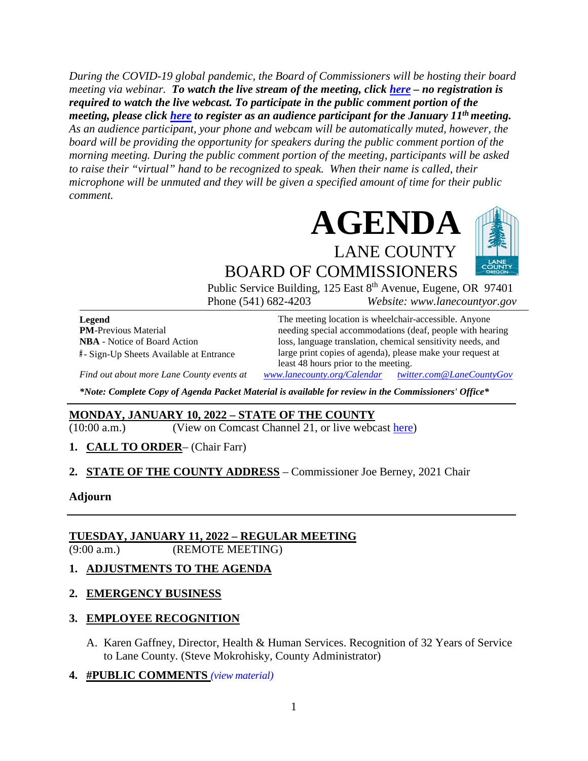*During the COVID-19 global pandemic, the Board of Commissioners will be hosting their board meeting via webinar. To watch the live stream of the meeting, click [here](https://lanecounty.org/cms/One.aspx?portalId=3585881&pageId=7842434) – no registration is required to watch the live webcast. To participate in the public comment portion of the meeting, please click [here](https://us06web.zoom.us/webinar/register/WN_Oq2cn7t6RhC-asGtcZq9jA) to register as an audience participant for the January 11th meeting. As an audience participant, your phone and webcam will be automatically muted, however, the board will be providing the opportunity for speakers during the public comment portion of the morning meeting. During the public comment portion of the meeting, participants will be asked to raise their "virtual" hand to be recognized to speak. When their name is called, their microphone will be unmuted and they will be given a specified amount of time for their public comment.* 



BOARD OF COMMISSIONERS Public Service Building, 125 East 8<sup>th</sup> Avenue, Eugene, OR 97401 Phone (541) 682-4203 *Website: www.lanecountyor.gov*

**Legend PM**-Previous Material **NBA** - Notice of Board Action **#** - Sign-Up Sheets Available at Entrance

The meeting location is wheelchair-accessible. Anyone needing special accommodations (deaf, people with hearing loss, language translation, chemical sensitivity needs, and large print copies of agenda), please make your request at least 48 hours prior to the meeting.

*Find out about more Lane County events at [www.lanecounty.org/Calendar](http://www.lanecounty.org/Calendar) [twitter.com@LaneCountyGov](https://twitter.com/lanecountygov?lang=en)*

*\*Note: Complete Copy of Agenda Packet Material is available for review in the Commissioners' Office\**

### **MONDAY, JANUARY 10, 2022 – STATE OF THE COUNTY**

(10:00 a.m.) (View on Comcast Channel 21, or live webcast [here\)](https://lanecounty.org/cms/One.aspx?portalId=3585881&pageId=7842434)

**1. CALL TO ORDER**– (Chair Farr)

**2. STATE OF THE COUNTY ADDRESS** – Commissioner Joe Berney, 2021 Chair

**Adjourn** 

### **TUESDAY, JANUARY 11, 2022 – REGULAR MEETING**

(9:00 a.m.) (REMOTE MEETING)

### **1. ADJUSTMENTS TO THE AGENDA**

### **2. EMERGENCY BUSINESS**

### **3. EMPLOYEE RECOGNITION**

- A. Karen Gaffney, Director, Health & Human Services. Recognition of 32 Years of Service to Lane County. (Steve Mokrohisky, County Administrator)
- **4. #PUBLIC COMMENTS** *(view [material\)](http://www.lanecountyor.gov/UserFiles/Servers/Server_3585797/File/Government/BCC/2022/2022_AGENDAS/011122agenda/T.4.pdf)*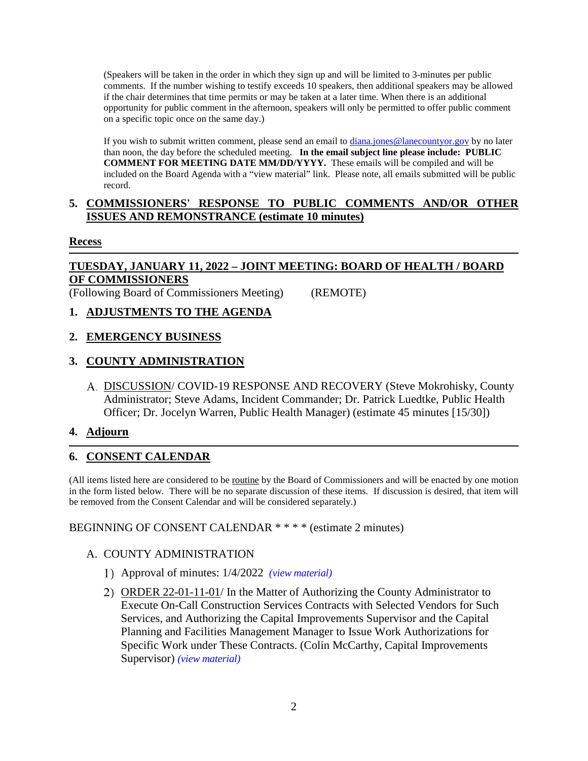(Speakers will be taken in the order in which they sign up and will be limited to 3-minutes per public comments. If the number wishing to testify exceeds 10 speakers, then additional speakers may be allowed if the chair determines that time permits or may be taken at a later time. When there is an additional opportunity for public comment in the afternoon, speakers will only be permitted to offer public comment on a specific topic once on the same day.)

If you wish to submit written comment, please send an email to [diana.jones@lanecountyor.gov](mailto:diana.jones@lanecountyor.gov) by no later than noon, the day before the scheduled meeting. **In the email subject line please include: PUBLIC COMMENT FOR MEETING DATE MM/DD/YYYY.** These emails will be compiled and will be included on the Board Agenda with a "view material" link. Please note, all emails submitted will be public record.

### **5. COMMISSIONERS' RESPONSE TO PUBLIC COMMENTS AND/OR OTHER ISSUES AND REMONSTRANCE (estimate 10 minutes)**

### **Recess**

# **TUESDAY, JANUARY 11, 2022 – JOINT MEETING: BOARD OF HEALTH / BOARD OF COMMISSIONERS**

(Following Board of Commissioners Meeting) (REMOTE)

## **1. ADJUSTMENTS TO THE AGENDA**

## **2. EMERGENCY BUSINESS**

### **3. COUNTY ADMINISTRATION**

DISCUSSION/ COVID-19 RESPONSE AND RECOVERY (Steve Mokrohisky, County Administrator; Steve Adams, Incident Commander; Dr. Patrick Luedtke, Public Health Officer; Dr. Jocelyn Warren, Public Health Manager) (estimate 45 minutes [15/30])

## **4. Adjourn**

## **6. CONSENT CALENDAR**

(All items listed here are considered to be routine by the Board of Commissioners and will be enacted by one motion in the form listed below. There will be no separate discussion of these items. If discussion is desired, that item will be removed from the Consent Calendar and will be considered separately.)

### BEGINNING OF CONSENT CALENDAR \* \* \* \* (estimate 2 minutes)

### A. COUNTY ADMINISTRATION

- Approval of minutes: 1/4/2022 *(view [material\)](http://www.lanecountyor.gov/UserFiles/Servers/Server_3585797/File/Government/BCC/2022/2022_AGENDAS/011122agenda/T.6.A.1.pdf)*
- ORDER 22-01-11-01/ In the Matter of Authorizing the County Administrator to Execute On-Call Construction Services Contracts with Selected Vendors for Such Services, and Authorizing the Capital Improvements Supervisor and the Capital Planning and Facilities Management Manager to Issue Work Authorizations for Specific Work under These Contracts. (Colin McCarthy, Capital Improvements Supervisor) *(view [material\)](http://www.lanecountyor.gov/UserFiles/Servers/Server_3585797/File/Government/BCC/2022/2022_AGENDAS/011122agenda/T.6.A.2.pdf)*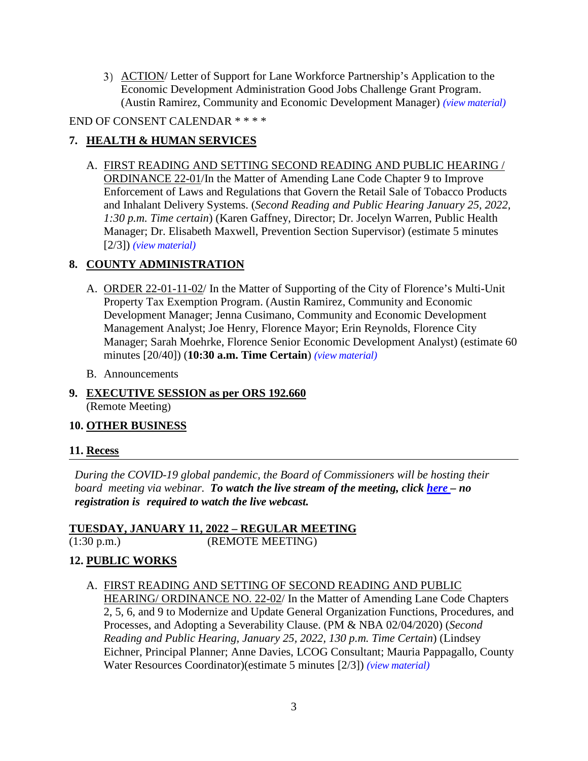3) ACTION/ Letter of Support for Lane Workforce Partnership's Application to the Economic Development Administration Good Jobs Challenge Grant Program. (Austin Ramirez, Community and Economic Development Manager) *(view [material\)](http://www.lanecountyor.gov/UserFiles/Servers/Server_3585797/File/Government/BCC/2022/2022_AGENDAS/011122agenda/T.6.A.3.pdf)*

END OF CONSENT CALENDAR \* \* \* \*

## **7. HEALTH & HUMAN SERVICES**

A. FIRST READING AND SETTING SECOND READING AND PUBLIC HEARING / ORDINANCE 22-01/In the Matter of Amending Lane Code Chapter 9 to Improve Enforcement of Laws and Regulations that Govern the Retail Sale of Tobacco Products and Inhalant Delivery Systems. (*Second Reading and Public Hearing January 25, 2022, 1:30 p.m. Time certain*) (Karen Gaffney, Director; Dr. Jocelyn Warren, Public Health Manager; Dr. Elisabeth Maxwell, Prevention Section Supervisor) (estimate 5 minutes [2/3]) *(view [material\)](http://www.lanecountyor.gov/UserFiles/Servers/Server_3585797/File/Government/BCC/2022/2022_AGENDAS/011122agenda/T.7.A.pdf)*

# **8. COUNTY ADMINISTRATION**

- A. ORDER 22-01-11-02/ In the Matter of Supporting of the City of Florence's Multi-Unit Property Tax Exemption Program. (Austin Ramirez, Community and Economic Development Manager; Jenna Cusimano, Community and Economic Development Management Analyst; Joe Henry, Florence Mayor; Erin Reynolds, Florence City Manager; Sarah Moehrke, Florence Senior Economic Development Analyst) (estimate 60 minutes [20/40]) (**10:30 a.m. Time Certain**) *(view [material\)](http://www.lanecountyor.gov/UserFiles/Servers/Server_3585797/File/Government/BCC/2022/2022_AGENDAS/011122agenda/T.8.A.pdf)*
- B. Announcements
- **9. EXECUTIVE SESSION as per ORS 192.660**  (Remote Meeting)

## **10. OTHER BUSINESS**

## **11. Recess**

*During the COVID-19 global pandemic, the Board of Commissioners will be hosting their board meeting via webinar. To watch the live stream of the meeting, click [here](https://lanecounty.org/cms/One.aspx?portalId=3585881&pageId=7842434) – no registration is required to watch the live webcast.* 

# **TUESDAY, JANUARY 11, 2022 – REGULAR MEETING**

(1:30 p.m.) (REMOTE MEETING)

## **12. PUBLIC WORKS**

A. FIRST READING AND SETTING OF SECOND READING AND PUBLIC HEARING/ ORDINANCE NO. 22-02/ In the Matter of Amending Lane Code Chapters 2, 5, 6, and 9 to Modernize and Update General Organization Functions, Procedures, and Processes, and Adopting a Severability Clause. (PM & NBA 02/04/2020) (*Second Reading and Public Hearing, January 25, 2022, 130 p.m. Time Certain*) (Lindsey Eichner, Principal Planner; Anne Davies, LCOG Consultant; Mauria Pappagallo, County Water Resources Coordinator)(estimate 5 minutes [2/3]) *(view [material\)](http://www.lanecountyor.gov/UserFiles/Servers/Server_3585797/File/Government/BCC/2022/2022_AGENDAS/011122agenda/T.12.A.pdf)*